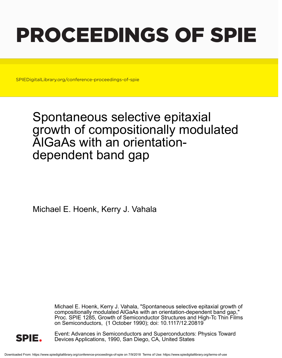# PROCEEDINGS OF SPIE

SPIEDigitalLibrary.org/conference-proceedings-of-spie

# Spontaneous selective epitaxial growth of compositionally modulated AlGaAs with an orientationdependent band gap

Michael E. Hoenk, Kerry J. Vahala

Michael E. Hoenk, Kerry J. Vahala, "Spontaneous selective epitaxial growth of compositionally modulated AlGaAs with an orientation-dependent band gap," Proc. SPIE 1285, Growth of Semiconductor Structures and High-Tc Thin Films on Semiconductors, (1 October 1990); doi: 10.1117/12.20819



Event: Advances in Semiconductors and Superconductors: Physics Toward Devices Applications, 1990, San Diego, CA, United States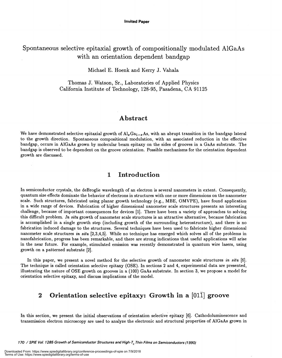# Spontaneous selective epitaxial growth of compositionally modulated A1GaAs with an orientation dependent bandgap

Michael E. Hoenk and Kerry J. Vahala

Thomas J. Watson, Sr., Laboratories of Applied Physics California Institute of Technology, 128-95, Pasadena, CA 91125

#### Abstract

We have demonstrated selective epitaxial growth of  $Al_xGa_{1-x}As$ , with an abrupt transition in the bandgap lateral to the growth direction. Spontaneous compositional modulation, with an associated reduction in the effective bandgap, occurs in AlGaAs grown by molecular beam epitaxy on the sides of grooves in a GaAs substrate. The bandgap is observed to be dependent on the groove orientation. Possible mechanisms for the orientation dependent growth are discussed.

## 1 Introduction

In semiconductor crystals, the deBroglie wavelength of an electron is several nanometers in extent. Consequently, quantum size effects dominate the behavior of electrons in structures with one or more dimensions on the nanometer scale. Such structures, fabricated using planar growth technology (e.g., MBE, OMVPE), have found application in a wide range of devices. Fabrication of higher dimensional nanometer scale structures presents an interesting challenge, because of important consequences for devices [1]. There have been a variety of approaches to solving this difficult problem. In situ growth of nanometer scale structures is an attractive alternative, because fabrication is accomplished in a single growth step (including growth of the surrounding heterostructure) , and there is no fabrication induced damage to the structures. Several techniques have been used to fabricate higher dimensional nanometer scale structures in situ [2,3,4,5]. While no technique has emerged which solves all of the problems in nanofabrication, progress has been remarkable, and there are strong indications that useful applications will arise in the near future. For example, stimulated emission was recently demonstrated in quantum wire lasers, using growth on a patterned substrate [2].

In this paper, we present a novel method for the selective growth of nanometer scale structures in situ [6]. The technique is called orientation selective epitaxy (OSE). In sections 2 and 4, experimental data are presented, illustrating the nature of OSE growth on grooves in a (100) GaAs substrate. In section 3, we propose a model for orientation selective epitaxy, and discuss implications of the model.

# 2 Orientation selective epitaxy: Growth in a  $[01\bar{1}]$  groove

In this section, we present the initial observations of orientation selective epitaxy [6]. Cathodoluminescence and transmission electron microscopy are used to analyze the electronic and structural properties of AlGaAs grown in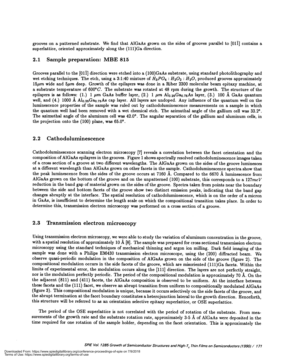grooves on a patterned substrate. We find that AlGaAs grown on the sides of grooves parallel to  $[01\bar{1}]$  contains a superlattice, oriented approximately along the (111)Ga direction.

#### 2.1 Sample preparation: MBE 815

Grooves parallel to the [011] direction were etched into a (100)GaAs substrate, using standard photolithography and wet etching techniques. The etch, using a 3:1:40 mixture of  $H_3PO_4$ :  $H_2O_2$ :  $H_2O$ , produced grooves approximately  $15\mu m$  wide and  $5\mu m$  deep. Growth of the epilayers was done in a Riber 2300 molecular beam epitaxy machine, at a substrate temperature of 600 $^{\circ}C$ . The substrate was rotated at 48 rpm during the growth. The structure of the epilayers is as follows: (1.) 1  $\mu$ m GaAs buffer layer, (2.) 1  $\mu$ m Al<sub>0.25</sub>Ga<sub>0.75</sub>As layer, (3.) 100 Å GaAs quantum well, and (4.) 1000 Å  $Al_{0.25}Ga_{0.75}As$  cap layer. All layers are undoped. Any influence of the quantum well on the luminescence properties of the sample was ruled out by cathodoluminescence measurements on a sample in which the quantum well had been removed with a wet chemical etch. The azimuthal angle of the gallium cell was 33.2°. The azimuthal angle of the aluminum cell was 42.0°. The angular separation of the gallium and aluminum cells, in the projection onto the  $(100)$  plane, was  $65.0^{\circ}$ .

#### 2.2 Cathodoluminescence

Cathodoluminescence scanning electron microscopy [7] reveals a correlation between the facet orientation and the composition of AlGaAs epilayers in the grooves. Figure 1 shows spectrally resolved cathodoluminescence images taken of a cross section of a groove at two different wavelengths. The AlGaAs grown on the sides of the groove luminesces at a different wavelength than A1GaAs grown on other facets in the sample. Cathodoluminescence spectra show that the peak luminescence from the sides of the groove occurs at 7160 A. Compared to the 6670 A luminescence from AlGaAs grown on the bottom of the groove and on the unpatterned (100) substrate, this corresponds to a  $127$  meV reduction in the band gap of material grown on the sides of the groove. Spectra taken from points near the boundary between the side and bottom facets of the groove show two distinct emission peaks, indicating that the band gap changes abruptly at the interface. The spatial resolution of cathodoluminescence, which is on the order of a micron in GaAs, is insufficient to determine the length scale on which the compositional transition takes place. In order to determine this, transmission electron microscopy was performed on a cross section of a groove.

#### 2.3 Transmission electron microscopy

Using transmission electron microscopy, we were able to study the variation of aluminum concentration in the groove, with a spatial resolution of approximately 10 Å [8]. The sample was prepared for cross sectional transmission electron microscopy using the standard techniques of mechanical thinning and argon ion milling. Dark field imaging of the sample was done with a Philips EM430 transmission electron microscope, using the (200) diffracted beam. We observe quasi-periodic modulation in the composition of A1GaAs grown on the side of the groove (figure 2). The compositional modulation occurs in the side facets of the groove, which are misoriented (111)Ga facets. Within the limits of experimental error, the modulation occurs along the [111] direction. The layers are not perfectly straight, nor is the modulation perfectly periodic. The period of the compositional modulation is approximately 70  $\AA$ . On the the adjacent (811) and (411) facets, the AlGaAs composition is observed to be uniform. At the interface between these facets and the (111) facet, we observe an abrupt transition from uniform to compositionally modulated AlGaAs (figure 3). This compositional modulation is unique, because it occurs selectively on the side facets of the groove, and the abrupt termination at the facet boundary constitutes a heterojunction lateral to the growth direction. Henceforth, this structure will be referred to as an orientation selective epitaxy superlattice, or OSE superlattice.

The period of the OSE superlattice is not correlated with the period of rotation of the substrate. From measurements of the growth rate and the substrate rotation rate, approximately 3-5 Å of AlGaAs were deposited in the time required for one rotation of the sample holder, depending on the facet orientation. This is approximately the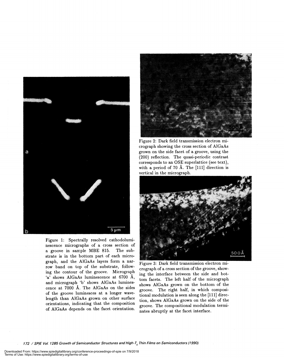

Figure 1: Spectrally resolved cathodoluminescence micrographs of a cross section of a groove in sample MBE 815. The substrate is in the bottom part of each micrograph, and the A1GaAs layers form a narrow band on top of the substrate, following the contour of the groove. Micrograph 'a' shows A1GaAs luminescence at 6700 A, and micrograph 'b' shows AlGaAs luminescence at 7000 A. The AlGaAs on the sides of the groove luminesces at a longer wavelength than A1GaAs grown on other surface orientations, indicating that the composition of AlGaAs depends on the facet orientation.



Figure 2: Dark field transmission electron micrograph showing the cross section of A1GaAs grown on the side facet of a groove, using the (200) reflection. The quasi-periodic contrast corresponds to an OSE superlattice (see text), with a period of 70 Å. The  $[111]$  direction is vertical in the micrograph.



Figure 3: Dark field transmission electron micrograph of a cross section of the groove, showing the interface between the side and bottom facets. The left half of the micrograph shows AlGaAs grown on the bottom of the groove. The right half, in which compositional modulation is seen along the  $[111]$  direction, shows A1GaAs grown on the side of the groove. The compositional modulation terminates abruptly at the facet interface.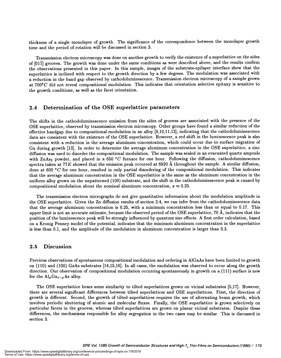thickness of a single monolayer of growth. The significance of the correspondence between the monolayer growth time and the period of rotation will be discussed in section 3.

Transmission electron microscopy was done on another growth to verify the existence of a superlattice on the sides of  $[01\bar{1}]$  grooves. The growth was done under the same conditions as were described above, and the results confirm the observations presented in this paper. In this sample, images of the substrate-epilayer interface show that the superlattice is inclined with respect to the growth direction by a few degrees. The modulation was associated with a reduction in the band gap observed by cathodoluminescence. Transmission electron microscopy of a sample grown at  $700^{\circ}$ C did not reveal compositional modulation. This indicates that orientation selective epitaxy is sensitive to the growth conditions, as well as the facet orientation.

#### 2.4 Determination of the OSE superlattice parameters

The shifts in the cathodoluminescence emission from the sides of grooves are associated with the presence of the OSE superlattice, observed by transmission electron microscopy. Other groups have found a similar reduction of the effective bandgap due to compositional modulation in an alloy [9,10,11,12], indicating that the cathodoluminescence data are consistent with the existence of the OSE superlattice. However, a red shift in the luminescence peak is also consistent with a reduction in the average aluminum concentration, which could occur due to surface migration of Ga during growth [13]. In order to determine the average aluminum concentration in the OSE superlattice, a zinc diffusion was used to disorder the compositional modulation. The sample was sealed in an evacuated quartz ampoule with ZnAs<sub>2</sub> powder, and placed in a 650 °C furnace for one hour. Following the diffusion, cathodoluminescence spectra taken at 77K showed that the emission peak occurred at 6920 Å throughout the sample. A similar diffusion, done at 600 °C for one hour, resulted in only partial disordering of the compositional modulation. This indicates that the average aluminum concentration in the OSE superlattice is the same as the aluminum concentration in the uniform alloy grown on the unpatterned (100) substrate, and the shift in the cathodoluminescence peak is caused by compositional modulation about the nominal aluminum concentration,  $x \approx 0.25$ .

The transmission electron micrographs do not give quantitative information about the modulation amplitude in the OSE superlattice. Given the Zn diffusion results of section 2.4, we can infer from the cathodoluminescence data that the average aluminum concentration is 0.25, with a minimum concentration less than or equal to 0.17. This upper limit is not an accurate estimate, because the observed period of the OSE superlattice, 70  $\AA$ , indicates that the position of the luminescence peak will be strongly influenced by quantum size effects. A first order calculation, based on a Kronig Penney model of the potential, indicates that the minimum aluminum concentration in the superlattice is less than 0.1, and the amplitude of the modulation in aluminum concentration is larger than 0.3.

#### 2.5 Discussion

Previous observations of spontaneous compositional modulation and ordering in AlGaAs have been limited to growth on (110) and (100) GaAs substrates [14,15,16]. In all cases, the modulation was observed to occur along the growth direction. Our observation of compositional modulation occurring spontaneously in growth on a (111) surface is new for the  $\text{Al}_x\text{Ga}_{1-x}$  As alloy.

The OSE superlattice bears some similarity to tilted superlattices grown on vicinal substrates [5,17]. However, there are several significant differences between tilted superlattices and OSE superlattices. First, the direction of growth is different. Second, the growth of tilted superlattices requires the use of alternating beam growth, which involves periodic shuttering of atomic and molecular fluxes. Finally, the OSE superlattice is grown selectively on particular facets in the grooves, whereas tilted superlattices are grown on planar vicinal substrates. Despite these differences, the mechanisms responsible for alloy segregation in the two cases may be similar. This is discussed in section 3.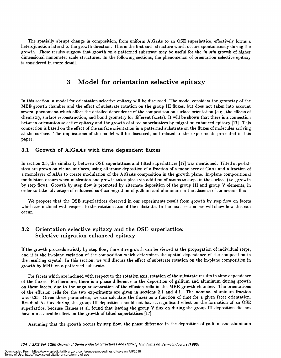The spatially abrupt change in composition, from uniform A1GaAs to an OSE superlattice, effectively forms a heterojunction lateral to the growth direction. This is the first such structure which occurs spontaneously during the growth. These results suggest that growth on a patterned substrate may be useful for the in situ growth of higher dimensional nanometer scale structures. In the following sections, the phenomenon of orientation selective epitaxy is considered in more detail.

# 3 Model for orientation selective epitaxy

In this section, a model for orientation selective epitaxy will be discussed. The model considers the geometry of the MBE growth chamber and the effect of substrate rotation on the group III fluxes, but does not taken into account several phenomena which affect the detailed dependence of the composition on surface orientation (e.g., the effects of chemistry, surface reconstruction, and bond geometry for different facets). It will be shown that there is a connection between orientation selective epitaxy and the growth of tilted superlattices by migration enhanced epitaxy [17]. This connection is based on the effect of the surface orientation in a patterned substrate on the fluxes of molecules arriving at the surface. The implications of the model will be discussed, and related to the experiments presented in this paper.

#### 3.1 Growth of A1GaAs with time dependent fluxes

In section 2.5, the similarity between OSE superlattices and tilted superlattices [17] was mentioned. Tilted superlattices are grown on vicinal surfaces, using alternate deposition of a fraction of a monolayer of GaAs and a fraction of a monolayer of AlAs to create modulation of the AlGaAs composition in the growth plane. In-plane compositional modulation occurs when nucleation and growth takes place via addition of atoms to steps in the surface (i.e., growth by step flow). Growth by step flow is promoted by alternate deposition of the group III and group V elements, in order to take advantage of enhanced surface migration of gallium and aluminum in the absence of an arsenic flux.

We propose that the OSE superlattices observed in our experiments result from growth by step flow on facets which are inclined with respect to the rotation axis of the substrate. In the next section, we will show how this can occur.

#### 3.2 Orientation selective epitaxy and the OSE superlattice: Selective migration enhanced epitaxy

If the growth proceeds strictly by step flow, the entire growth can be viewed as the propagation of individual steps, and it is the in-plane variation of the composition which determines the spatial dependence of the composition in the resulting crystal. In this section, we will discuss the effect of substrate rotation on the in-plane composition in growth by MBE on a patterned substrate.

For facets which are inclined with respect to the rotation axis, rotation of the substrate results in time dependence of the fluxes. Furthermore, there is a phase difference in the deposition of gallium and aluminum during growth on these facets, due to the angular separation of the effusion cells in the MBE growth chamber. The orientations of the effusion cells for the two experiments are given in sections 2.1 and 4.1. The nominal aluminum fraction was 0.25. Given these parameters, we can calculate the fluxes as a function of time for a given facet orientation. Residual As flux during the group III deposition should not have a significant effect on the formation of an OSE superlattice, because Gaines et al. found that leaving the group V flux on during the group III deposition did not have a measurable effect on the growth of tilted superlattices [17].

Assuming that the growth occurs by step flow, the phase difference in the deposition of gallium and aluminum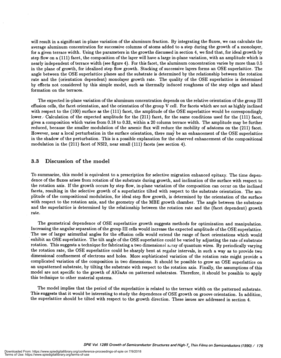will result in a significant in-plane variation of the aluminum fraction. By integrating the fluxes, we can calculate the average aluminum concentration for successive columns of atoms added to a step during the growth of a monolayer, for a given terrace width. Using the parameters in the growths discussed in section 4, we find that, for ideal growth by step flow on a (111) facet, the composition of the layer will have a large in-plane variation, with an amplitude which is nearly independent ofterrace width (see figure 4). For this facet, the aluminum concentration varies by more than 0.5 in the plane of growth, for idealized step flow growth. Stacking of successive layers forms an OSE superlattice. The angle between the OSE superlattice planes and the substrate is determined by the relationship between the rotation rate and the (orientation dependent) monolayer growth rate. The quality of the OSE superlattice is determined by effects not considered by this simple model, such as thermally induced roughness of the step edges and island formation on the terraces.

The expected in-plane variation of the aluminum concentration depends on the relative orientation of the group III effusion cells, the facet orientation, and the orientation of the group V cell. For facets which are not as highly inclined with respect to the (100) surface as the (111) facet, the amplitude of the OSE superlattice would be correspondingly lower. Calculation of the expected amplitude for the (211) facet, for the same conditions used for the (111) facet, gives a composition which varies from 0.18 to 0.33, within a 20 column terrace width. The amplitude may be further reduced, because the smaller modulation of the arsenic flux will reduce the mobility of adatoms on the (211) facet. However, near a local perturbation in the surface orientation, there may be an enhancement of the OSE superlattice in the shadow of the perturbation. This is a possible explanation for the observed enhancement of the compositional modulation in the (211) facet of NSI2, near small (111) facets (see section 4).

#### 3.3 Discussion of the model

To summarize, this model is equivalent to a prescription for selective migration enhanced epitaxy. The time dependence of the fluxes arises from rotation of the substrate during growth, and inclination of the surface with respect to the rotation axis. If the growth occurs by step flow, in-plane variation of the composition can occur on the inclined facets, resulting in the selective growth of a superlattice tilted with respect to the substrate orientation. The amplitude of the compositional modulation, for ideal step flow growth, is determined by the orientation of the surface with respect to the rotation axis, and the geometry of the MBE growth chamber. The angle between the substrate and the superlattice is determined by the relationship between the rotation rate and the (facet dependent) growth rate.

The geometrical dependence of OSE superlattice growth suggests methods for optimization and manipulation. Increasing the angular separation of the group III cells would increase the expected amplitude of the OSE superlattice. The use of larger azimuthal angles for the effusion cells would extend the range of facet orientations which would exhibit an OSE superlattice. The tilt angle of the OSE superlattice could be varied by adjusting the rate of substrate rotation. This suggests a technique for fabricating a two dimensional array of quantum wires. By periodically varying the rotation rate, the OSE superlattice could be sharply bent at regular intervals, in such a way as to provide two dimensional confinement of electrons and holes. More sophisticated variation of the rotation rate might provide a complicated variation of the composition in two dimensions. It should be possible to grow an OSE superlattice on an unpatterned substrate, by tilting the substrate with respect to the rotation axis. Finally, the assumptions of this model are not specific to the growth of A1GaAs on patterned substrates. Therefore, it should be possible to apply this technique to other material systems.

The model implies that the period of the superlattice is related to the terrace width on the patterned substrate. This suggests that it would be interesting to study the dependence of OSE growth on groove orientation. In addition, the superlattice should be tilted with respect to the growth direction. These issues are addressed in section 4.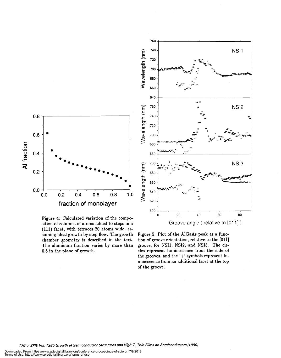

Figure 4: Calculated variation of the composition of columns of atoms added to steps in a (111) facet, with terraces 20 atoms wide, assuming ideal growth by step flow. The growth chamber geometry is described in the text. The aluminum fraction varies by more than 0.5 in the plane of growth.



Figure 5: Plot of the A1GaAs peak as a function of groove orientation, relative to the  $[01\bar{1}]$ groove, for NSI1, NSI2, and NSI3. The circles represent luminescence from the side of the grooves, and the  $'+$  symbols represent luminescence from an additional facet at the top of the groove.

176 / SPIE Vol. 1285 Growth of Semiconductor Structures and High-T<sub>c</sub> Thin Films on Semiconductors (1990)

Downloaded From: https://www.spiedigitallibrary.org/conference-proceedings-of-spie on 7/9/2018 Terms of Use: https://www.spiedigitallibrary.org/terms-of-use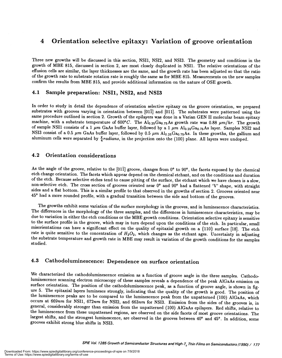# 4 Orientation selective epitaxy: Variation of groove orientation

Three new growths will be discussed in this section, NSI1, NSI2, and NSI3. The geometry and conditions in the growth of MBE 815, discussed in section 2, are most closely duplicated in NSI1. The relative orientations of the effusion cells are similar, the layer thicknesses are the same, and the growth rate has been adjusted so that the ratio of the growth rate to substrate rotation rate is roughly the same as for MBE 815. Measurements on the new samples confirm the results from MBE \$15, and provide additional information on the nature of OSE growth.

#### 4.1 Sample preparation: NSI1, NSI2, and NSI3

In order to study in detail the dependence of orientation selective epitaxy on the groove orientation, we prepared substrates with grooves varying in orientation between [011] and [011]. The substrates were patterned using the same procedure outlined in section 2. Growth of the epilayers was done in a Varian GEN II molecular beam epitaxy machine, with a substrate temperature of  $600^{\circ}C$ . The Al<sub>0.25</sub>Ga<sub>0.75</sub>As growth rate was 0.88  $\mu m/hr$ . The growth of sample NSI1 consists of a 1  $\mu$ m GaAs buffer layer, followed by a 1  $\mu$ m Al<sub>0.25</sub>Ga<sub>0.75</sub>As layer. Samples NSI2 and NSI3 consist of a 0.5  $\mu$ m GaAs buffer layer, followed by 0.5  $\mu$ m Al<sub>0.25</sub>Ga<sub>0.75</sub>As. In these growths, the gallium and aluminum cells were separated by  $\frac{\pi}{4}$ radians, in the projection onto the (100) plane. All layers were undoped.

#### 4.2 Orientation considerations

As the angle of the groove, relative to the [011] groove, changes from  $0^{\circ}$  to  $90^{\circ}$ , the facets exposed by the chemical etch change orientation. The facets which appear depend on the chemical etchant, and on the conditions and duration of the etch. Because selective etches tend to cause pitting of the surface, the etchant which we have chosen is a slow, non-selective etch. The cross section of grooves oriented near 0° and 90° had a flattened 'V' shape, with straight sides and a flat bottom. This is a similar profile to that observed in the growths of section 2. Grooves oriented near 450 had a more rounded profile, with a gradual transition between the side and bottom of the grooves.

The growths exhibit some variation of the surface morphology in the grooves, and in luminescence characteristics. The differences in the morphology of the three samples, and the differences in luminescence characteristics, may be due to variation in either the etch conditions or the MBE growth conditions. Orientation selective epitaxy to the surface profile in the groove, which may in turn depend upon the conditions of the etch. In particular, small misorientations can have a significant effect on the quality of epitaxial growth on a {11O} surface [18]. The etch rate is quite sensitive to the concentration of  $H_2O_2$ , which changes as the etchant ages. Uncertainty in adjusting the substrate temperature and growth rate in MBE may result in variation of the growth conditions for the samples studied.

#### 4.3 Cathodoluminescence: Dependence on surface orientation

We characterized the cathodoluminescence emission as a function of groove angle in the three samples. Cathodoluminescence scanning electron microscopy of these samples reveals a dependence of the peak AlGaAs emission on ure 5. The epitaxial layers luminesce strongly, indicating that the quality of the growth is good. The position of<br>the luminescence peaks are to be compared to the luminescence peak from the unpatterned (100) AlGaAs, which occurs at 669nm for NSI1, 672nm for NSI2, and 663nm for NSI3. Emission from the sides of the grooves is, in general, considerably stronger than emission from the unpatterned (100) AlGaAs epilayers. Red shifts, relative to the luminescence from these unpatterned regions, are observed on the side facets of most groove orientations. The largest shifts, and the strongest luminescence, are observed in the grooves between 40° and 45°. In addition, some grooves exhibit strong blue shifts in NSI3.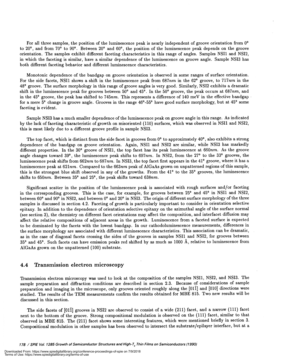For all three samples, the position of the luminescence peak is nearly independent of groove orientation from O' to 20<sup>o</sup>, and from 70<sup>o</sup> to 90<sup>o</sup>. Between 20<sup>o</sup> and 60<sup>o</sup>, the position of the luminescence peak depends on the groove orientation. The samples exhibit different faceting characteristics in this range of angles. Samples NSI1 and N512, in which the faceting is similar, have a similar dependence of the luminescence on groove angle. Sample N513 has both different faceting behavior and different luminescence characteristics.

Monotonic dependence of the bandgap on groove orientation is observed in some ranges of surface orientation. For the side facets, NSI1 shows a shift in the luminescence peak from  $687nm$  in the  $62^{\circ}$  groove, to  $717nm$  in the 48° groove. The surface morphology in this range of groove angles is very good. Similarly, N512 exhibits a dramatic shift in the luminescence peak for grooves between  $50^{\circ}$  and  $45^{\circ}$ . In the  $50^{\circ}$  groove, the peak occurs at  $687nm$ , and in the 45<sup>°</sup> groove, the peak has shifted to 745nm. This represents a difference of 140 meV in the effective bandgap for a mere 5° change in groove angle. Grooves in the range 46°-55° have good surface morphology, but at 45° some faceting is evident.

Sample NSI3 has a much smaller dependence of the luminescence peak on groove angle in this range. As indicated by the lack of faceting characteristic of growth on misoriented (110) surfaces, which was observed in NSI1 and NSI2, this is most likely due to a different groove profile in sample NSI3.

The top facet, which is distinct from the side facet in grooves from  $0^{\circ}$  to approximately  $40^{\circ}$ , also exhibits a strong dependence of the bandgap on groove orientation. Again, NSI1 and N512 are similar, while N513 has markedly different properties. In the 30° groove of NSI1, the top facet has its peak luminescence at 660nm. As the groove angle changes toward 39° , the luminescence peak shifts to 697nm. In N512, from the 27° to the 33° grooves, the luminescence peak shifts from  $662nm$  to  $687nm$ . In NSI3, the top facet first appears in the 41° groove, where it has a luminescence peak at  $621nm$ . Compared to the  $663nm$  peak of AlGaAs grown on unpatterned regions of this sample, this is the strongest blue shift observed in any of the growths. From the 41° to the 35° grooves, the luminescence shifts to  $650nm$ . Between  $35^{\circ}$  and  $25^{\circ}$ , the peak shifts toward  $638nm$ .

Significant scatter in the position of the luminescence peak is associated with rough surfaces and/or faceting in the corresponding grooves. This is the case, for example, for grooves between 25° and 45° in NSI1 and N512, between  $60^{\circ}$  and  $90^{\circ}$  in NSI2, and between  $0^{\circ}$  and  $20^{\circ}$  in NSI3. The origin of different surface morphology of the three samples is discussed in section 4.2. Faceting of growth is particularly important to consider in orientation selective epitaxy. In addition to the dependence of orientation selective epitaxy on the azimuthal angle of the surface normal ( see section 3), the chemistry on different facet orientations may affect the composition, and interfacet diffusion may affect the relative compositions of adjacent areas in the growth. Luminescence from a faceted surface is expected to be dominated by the facets with the lowest bandgap. In our cathodoluminescence measurements, differences in the surface morphology are associated with different luminescence characteristics. This association can be dramatic, as in the case of diagonal facets crossing the sides of the grooves in samples NSI1 and NSI2, for grooves between  $35^{\circ}$  and  $45^{\circ}$ . Such facets can have emission peaks red shifted by as much as 1000 Å, relative to luminescence from AlGaAs grown on the unpatterned (100) substrate.

#### 4.4 Transmission electron microscopy

Transmission electron microscopy was used to look at the composition of the samples NSI1, NSI2, and NSI3. The sample preparation and diffraction conditions are described in section 2.3. Because of considerations of sample preparation and imaging in the microscope, only grooves oriented roughly along the [011] and [010] directions were studied. The results of the TEM measurements confirm the results obtained for MBE 815. Two new results will be discussed in this section.

The side facets of [011] grooves in NSI2 are observed to consist of a wide (211) facet, and a narrow (111) facet next to the bottom of the groove. Strong compositional modulation is observed on the (111) facet, similar to that observed in MBE 815. The (211) facet shows some interesting features, which were mentioned briefly in section 3. Compositional modulation in other samples has been observed to intersect the substrate/epilayer interface, but at a

178 / SPIE Vol. 1285 Growth of Semiconductor Structures and High-T. Thin Films on Semiconductors (1990)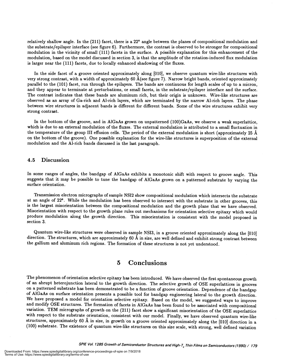relatively shallow angle. In the  $(211)$  facet, there is a  $22^{\circ}$  angle between the planes of compositional modulation and the substrate/epilayer interface (see figure 6). Furthermore, the contrast is observed to be stronger for compositional modulation in the vicinity of small (111) facets in the surface. A possible explanation for this enhancement of the modulation, based on the model discussed in section 3, is that the amplitude of the rotation-induced flux modulation is larger near the (111) facets, due to locally enhanced shadowing of the fluxes.

In the side facet of a groove oriented approximately along [010], we observe quantum wire-like structures with very strong contrast, with a width of approximately 60 A(see figure 7). Narrow bright bands, oriented approximately parallel to the (101) facet, run through the epilayers. The bands are continuous for length scales of up to a micron, and they appear to terminate at perturbations, or small facets, in the substrate/epilayer interface and the surface. The contrast indicates that these bands are aluminum rich, but their origin is unknown. Wire-like structures are observed as an array of Ga-rich and Al-rich layers, which are terminated by the narrow Al-rich layers. The phase between wire structures in adjacent bands is different for different bands. Some of the wire structures exhibit very strong contrast.

In the bottom of the groove, and in AlGaAs grown on unpatterned (100)GaAs, we observe a weak superlattice, which is due to an external modulation of the fluxes. The external modulation is attributed to a small fluctuation in the temperature of the group III effusion cells. The period of the external modulation is short (approximately 25  $\AA$ on the bottom of the groove). One possible explanation for the wire-like structures is superposition of the external modulation and the Al-rich bands discussed in the last paragraph.

#### 4.5 Discussion

In some ranges of angles, the bandgap of A1GaAs exhibits a monotonic shift with respect to groove angle. This suggests that it may be possible to tune the bandgap of AlGaAs grown on a patterned substrate by varying the surface orientation.

Transmission electron micrographs of sample NSI2 show compositional modulation which intersects the substrate at an angle of 22° . While the modulation has been observed to intersect with the substrate in other grooves, this is the largest misorientation between the compositional modulation and the growth plane that we have observed. Misorientation with respect to the growth plane rules out mechanisms for orientation selective epitaxy which would produce modulation along the growth direction. This misorientation is consistent with the model proposed in section 3.

Q uantum wire-like structures were observed in sample NSI3, in a groove oriented approximately along the [010] direction. The structures, which are approximately 60 A in size, are well defined and exhibit strong contrast between the gallium and aluminum rich regions. The formation of these structures is not yet understood.

### 5 Conclusions

The phenomenon of orientation selective epitaxy has been introduced. We have observed the first spontaneous growth of an abrupt heterojunction lateral to the growth direction. The selective growth of OSE superlattices in g on a patterned substrate has been demonstrated to be a function of groove orientation. Dependence of the bandgap of AlGaAs on surface orientation presents a possible tool for bandgap engineering lateral to the growth direction. We have proposed a model for orientation selective epitaxy. Based on the model, we suggested ways to improve and modify OSE structures. The formation of facets in A1GaAs has been found to be associated with compositional variation. TEM micrographs of growth on the (211) facet show a significant misorientation of the OSE superlattice with respect to the substrate orientation, consistent with our model. Finally, we have observed quantum wire-like structures, approximately 60 A in size, in growth on a groove oriented approximately along the [010] direction in a (100) substrate. The existence of quantum wire-like structures on this size scale, with strong, well defined variation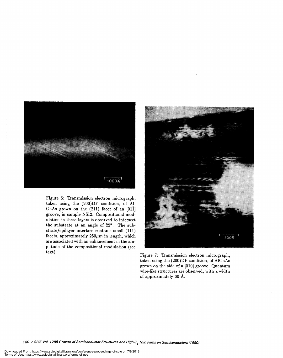

Figure 6: Transmission electron micrograph, taken using the (200)DF condition, of Al-GaAs grown on the  $(211)$  facet of an  $[01\bar{1}]$ groove, in sample NSI2. Compositional modulation in these layers is observed to intersect the substrate at an angle of 22° . The substrate/epilayer interface contains small (111) facets, approximately  $250\mu m$  in length, which are associated with an enhancement in the amplitude of the compositional modulation (see



Figure 7: Transmission electron micrograph, taken using the (200)DF condition, of AlGaAs grown on the side of a [010] groove. Quantum wire-like structures are observed, with a width of approximately 60 A.

180 / SPIE Vol. 1285 Growth of Semiconductor Structures and High-T<sub>c</sub> Thin Films on Semiconductors (1990)